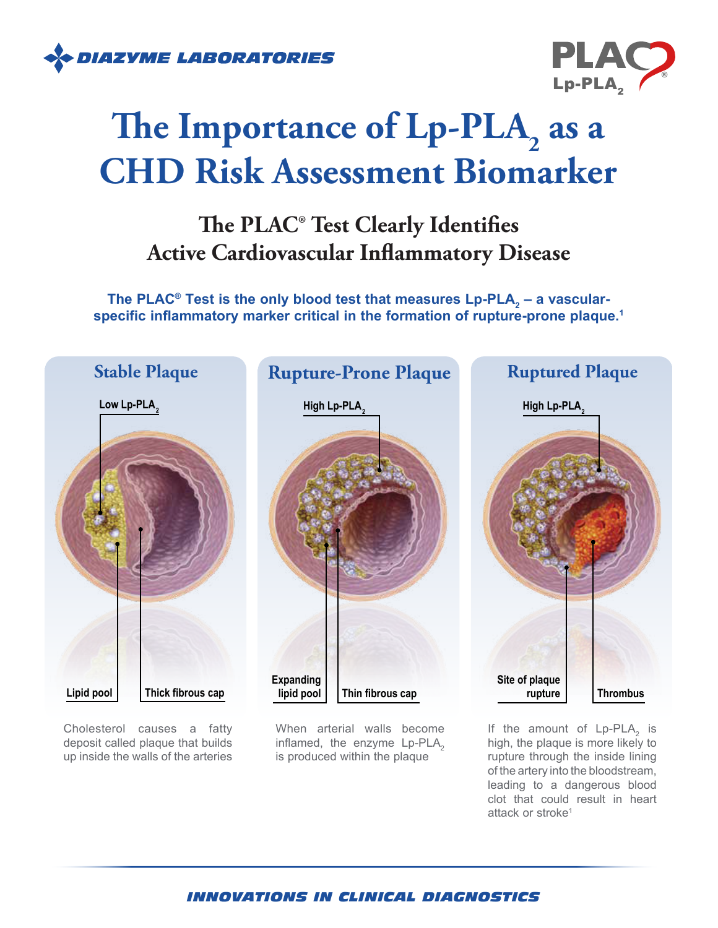



# The Importance of Lp-PLA<sub>2</sub> as a **CHD Risk Assessment Biomarker**

## **The PLAC® Test Clearly Identifies Active Cardiovascular Inflammatory Disease**

The PLAC® Test is the only blood test that measures Lp-PLA<sub>2</sub> – a vascularspecific inflammatory marker critical in the formation of rupture-prone plaque.<sup>1</sup>



Cholesterol causes a fatty deposit called plaque that builds up inside the walls of the arteries

When arterial walls become inflamed, the enzyme  $Lp$ -PLA<sub>2</sub> is produced within the plaque

If the amount of  $Lp-PLA_2$  is high, the plaque is more likely to rupture through the inside lining of the artery into the bloodstream, leading to a dangerous blood clot that could result in heart attack or stroke<sup>1</sup>

### *INNOVATIONS IN CLINICAL DIAGNOSTICS*